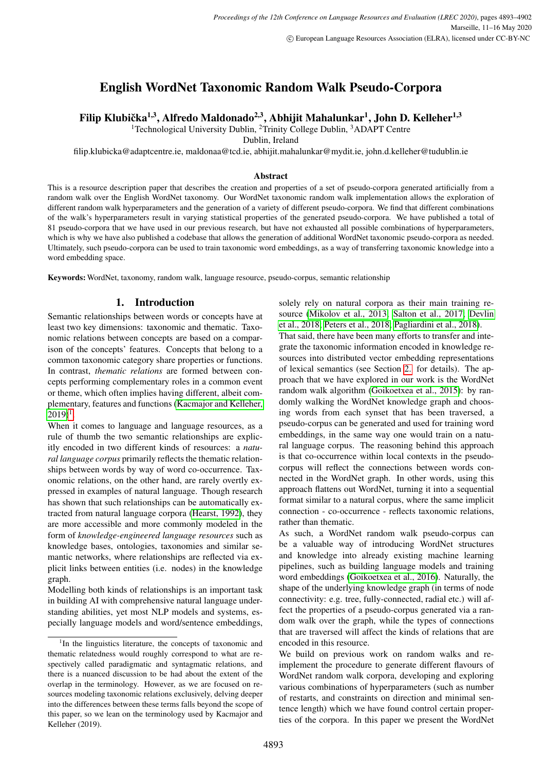# English WordNet Taxonomic Random Walk Pseudo-Corpora

## Filip Klubička<sup>1,3</sup>, Alfredo Maldonado<sup>2,3</sup>, Abhijit Mahalunkar<sup>1</sup>, John D. Kelleher<sup>1,3</sup>

<sup>1</sup>Technological University Dublin, <sup>2</sup>Trinity College Dublin, <sup>3</sup>ADAPT Centre

Dublin, Ireland

filip.klubicka@adaptcentre.ie, maldonaa@tcd.ie, abhijit.mahalunkar@mydit.ie, john.d.kelleher@tudublin.ie

#### Abstract

This is a resource description paper that describes the creation and properties of a set of pseudo-corpora generated artificially from a random walk over the English WordNet taxonomy. Our WordNet taxonomic random walk implementation allows the exploration of different random walk hyperparameters and the generation of a variety of different pseudo-corpora. We find that different combinations of the walk's hyperparameters result in varying statistical properties of the generated pseudo-corpora. We have published a total of 81 pseudo-corpora that we have used in our previous research, but have not exhausted all possible combinations of hyperparameters, which is why we have also published a codebase that allows the generation of additional WordNet taxonomic pseudo-corpora as needed. Ultimately, such pseudo-corpora can be used to train taxonomic word embeddings, as a way of transferring taxonomic knowledge into a word embedding space.

Keywords: WordNet, taxonomy, random walk, language resource, pseudo-corpus, semantic relationship

## 1. Introduction

Semantic relationships between words or concepts have at least two key dimensions: taxonomic and thematic. Taxonomic relations between concepts are based on a comparison of the concepts' features. Concepts that belong to a common taxonomic category share properties or functions. In contrast, *thematic relations* are formed between concepts performing complementary roles in a common event or theme, which often implies having different, albeit complementary, features and functions [\(Kacmajor and Kelleher,](#page-8-0)  $2019)^{1}$  $2019)^{1}$  $2019)^{1}$  $2019)^{1}$ .

When it comes to language and language resources, as a rule of thumb the two semantic relationships are explicitly encoded in two different kinds of resources: a *natural language corpus* primarily reflects the thematic relationships between words by way of word co-occurrence. Taxonomic relations, on the other hand, are rarely overtly expressed in examples of natural language. Though research has shown that such relationships can be automatically extracted from natural language corpora [\(Hearst, 1992\)](#page-8-1), they are more accessible and more commonly modeled in the form of *knowledge-engineered language resources* such as knowledge bases, ontologies, taxonomies and similar semantic networks, where relationships are reflected via explicit links between entities (i.e. nodes) in the knowledge graph.

Modelling both kinds of relationships is an important task in building AI with comprehensive natural language understanding abilities, yet most NLP models and systems, especially language models and word/sentence embeddings, solely rely on natural corpora as their main training resource [\(Mikolov et al., 2013;](#page-9-0) [Salton et al., 2017;](#page-9-1) [Devlin](#page-8-2) [et al., 2018;](#page-8-2) [Peters et al., 2018;](#page-9-2) [Pagliardini et al., 2018\)](#page-9-3).

That said, there have been many efforts to transfer and integrate the taxonomic information encoded in knowledge resources into distributed vector embedding representations of lexical semantics (see Section [2.](#page-1-0) for details). The approach that we have explored in our work is the WordNet random walk algorithm [\(Goikoetxea et al., 2015\)](#page-8-3): by randomly walking the WordNet knowledge graph and choosing words from each synset that has been traversed, a pseudo-corpus can be generated and used for training word embeddings, in the same way one would train on a natural language corpus. The reasoning behind this approach is that co-occurrence within local contexts in the pseudocorpus will reflect the connections between words connected in the WordNet graph. In other words, using this approach flattens out WordNet, turning it into a sequential format similar to a natural corpus, where the same implicit connection - co-occurrence - reflects taxonomic relations, rather than thematic.

As such, a WordNet random walk pseudo-corpus can be a valuable way of introducing WordNet structures and knowledge into already existing machine learning pipelines, such as building language models and training word embeddings [\(Goikoetxea et al., 2016\)](#page-8-4). Naturally, the shape of the underlying knowledge graph (in terms of node connectivity: e.g. tree, fully-connected, radial etc.) will affect the properties of a pseudo-corpus generated via a random walk over the graph, while the types of connections that are traversed will affect the kinds of relations that are encoded in this resource.

We build on previous work on random walks and reimplement the procedure to generate different flavours of WordNet random walk corpora, developing and exploring various combinations of hyperparameters (such as number of restarts, and constraints on direction and minimal sentence length) which we have found control certain properties of the corpora. In this paper we present the WordNet

<span id="page-0-0"></span><sup>&</sup>lt;sup>1</sup>In the linguistics literature, the concepts of taxonomic and thematic relatedness would roughly correspond to what are respectively called paradigmatic and syntagmatic relations, and there is a nuanced discussion to be had about the extent of the overlap in the terminology. However, as we are focused on resources modeling taxonomic relations exclusively, delving deeper into the differences between these terms falls beyond the scope of this paper, so we lean on the terminology used by Kacmajor and Kelleher (2019).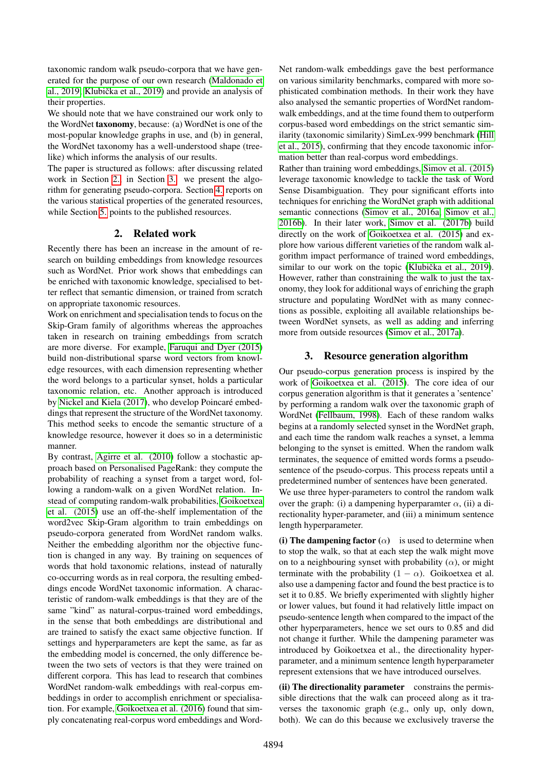taxonomic random walk pseudo-corpora that we have generated for the purpose of our own research [\(Maldonado et](#page-9-4) al.,  $2019$ ; Klubička et al.,  $2019$ ) and provide an analysis of their properties.

We should note that we have constrained our work only to the WordNet taxonomy, because: (a) WordNet is one of the most-popular knowledge graphs in use, and (b) in general, the WordNet taxonomy has a well-understood shape (treelike) which informs the analysis of our results.

The paper is structured as follows: after discussing related work in Section [2.,](#page-1-0) in Section [3.](#page-1-1) we present the algorithm for generating pseudo-corpora. Section [4.](#page-3-0) reports on the various statistical properties of the generated resources, while Section [5.](#page-7-0) points to the published resources.

## 2. Related work

<span id="page-1-0"></span>Recently there has been an increase in the amount of research on building embeddings from knowledge resources such as WordNet. Prior work shows that embeddings can be enriched with taxonomic knowledge, specialised to better reflect that semantic dimension, or trained from scratch on appropriate taxonomic resources.

Work on enrichment and specialisation tends to focus on the Skip-Gram family of algorithms whereas the approaches taken in research on training embeddings from scratch are more diverse. For example, [Faruqui and Dyer \(2015\)](#page-8-6) build non-distributional sparse word vectors from knowledge resources, with each dimension representing whether the word belongs to a particular synset, holds a particular taxonomic relation, etc. Another approach is introduced by [Nickel and Kiela \(2017\)](#page-9-5), who develop Poincaré embeddings that represent the structure of the WordNet taxonomy. This method seeks to encode the semantic structure of a knowledge resource, however it does so in a deterministic manner.

By contrast, [Agirre et al. \(2010\)](#page-8-7) follow a stochastic approach based on Personalised PageRank: they compute the probability of reaching a synset from a target word, following a random-walk on a given WordNet relation. Instead of computing random-walk probabilities, [Goikoetxea](#page-8-3) [et al. \(2015\)](#page-8-3) use an off-the-shelf implementation of the word2vec Skip-Gram algorithm to train embeddings on pseudo-corpora generated from WordNet random walks. Neither the embedding algorithm nor the objective function is changed in any way. By training on sequences of words that hold taxonomic relations, instead of naturally co-occurring words as in real corpora, the resulting embeddings encode WordNet taxonomic information. A characteristic of random-walk embeddings is that they are of the same "kind" as natural-corpus-trained word embeddings, in the sense that both embeddings are distributional and are trained to satisfy the exact same objective function. If settings and hyperparameters are kept the same, as far as the embedding model is concerned, the only difference between the two sets of vectors is that they were trained on different corpora. This has lead to research that combines WordNet random-walk embeddings with real-corpus embeddings in order to accomplish enrichment or specialisation. For example, [Goikoetxea et al. \(2016\)](#page-8-4) found that simply concatenating real-corpus word embeddings and WordNet random-walk embeddings gave the best performance on various similarity benchmarks, compared with more sophisticated combination methods. In their work they have also analysed the semantic properties of WordNet randomwalk embeddings, and at the time found them to outperform corpus-based word embeddings on the strict semantic similarity (taxonomic similarity) SimLex-999 benchmark [\(Hill](#page-8-8) [et al., 2015\)](#page-8-8), confirming that they encode taxonomic information better than real-corpus word embeddings.

Rather than training word embeddings, [Simov et al. \(2015\)](#page-9-6) leverage taxonomic knowledge to tackle the task of Word Sense Disambiguation. They pour significant efforts into techniques for enriching the WordNet graph with additional semantic connections [\(Simov et al., 2016a;](#page-9-7) [Simov et al.,](#page-9-8) [2016b\)](#page-9-8). In their later work, [Simov et al. \(2017b\)](#page-9-9) build directly on the work of [Goikoetxea et al. \(2015\)](#page-8-3) and explore how various different varieties of the random walk algorithm impact performance of trained word embeddings, similar to our work on the topic (Klubička et al., 2019). However, rather than constraining the walk to just the taxonomy, they look for additional ways of enriching the graph structure and populating WordNet with as many connections as possible, exploiting all available relationships between WordNet synsets, as well as adding and inferring more from outside resources [\(Simov et al., 2017a\)](#page-9-10).

## 3. Resource generation algorithm

<span id="page-1-1"></span>Our pseudo-corpus generation process is inspired by the work of [Goikoetxea et al. \(2015\)](#page-8-3). The core idea of our corpus generation algorithm is that it generates a 'sentence' by performing a random walk over the taxonomic graph of WordNet [\(Fellbaum, 1998\)](#page-8-9). Each of these random walks begins at a randomly selected synset in the WordNet graph, and each time the random walk reaches a synset, a lemma belonging to the synset is emitted. When the random walk terminates, the sequence of emitted words forms a pseudosentence of the pseudo-corpus. This process repeats until a predetermined number of sentences have been generated.

We use three hyper-parameters to control the random walk over the graph: (i) a dampening hyperparamter  $\alpha$ , (ii) a directionality hyper-parameter, and (iii) a minimum sentence length hyperparameter.

(i) The dampening factor  $(\alpha)$  is used to determine when to stop the walk, so that at each step the walk might move on to a neighbouring synset with probability  $(\alpha)$ , or might terminate with the probability  $(1 - \alpha)$ . Goikoetxea et al. also use a dampening factor and found the best practice is to set it to 0.85. We briefly experimented with slightly higher or lower values, but found it had relatively little impact on pseudo-sentence length when compared to the impact of the other hyperparameters, hence we set ours to 0.85 and did not change it further. While the dampening parameter was introduced by Goikoetxea et al., the directionality hyperparameter, and a minimum sentence length hyperparameter represent extensions that we have introduced ourselves.

(ii) The directionality parameter constrains the permissible directions that the walk can proceed along as it traverses the taxonomic graph (e.g., only up, only down, both). We can do this because we exclusively traverse the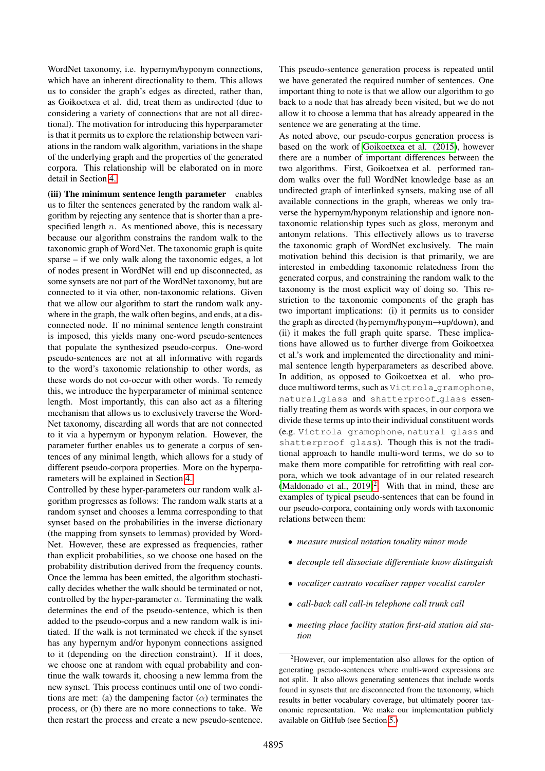WordNet taxonomy, i.e. hypernym/hyponym connections, which have an inherent directionality to them. This allows us to consider the graph's edges as directed, rather than, as Goikoetxea et al. did, treat them as undirected (due to considering a variety of connections that are not all directional). The motivation for introducing this hyperparameter is that it permits us to explore the relationship between variations in the random walk algorithm, variations in the shape of the underlying graph and the properties of the generated corpora. This relationship will be elaborated on in more detail in Section [4..](#page-3-0)

(iii) The minimum sentence length parameter enables us to filter the sentences generated by the random walk algorithm by rejecting any sentence that is shorter than a prespecified length  $n$ . As mentioned above, this is necessary because our algorithm constrains the random walk to the taxonomic graph of WordNet. The taxonomic graph is quite sparse – if we only walk along the taxonomic edges, a lot of nodes present in WordNet will end up disconnected, as some synsets are not part of the WordNet taxonomy, but are connected to it via other, non-taxonomic relations. Given that we allow our algorithm to start the random walk anywhere in the graph, the walk often begins, and ends, at a disconnected node. If no minimal sentence length constraint is imposed, this yields many one-word pseudo-sentences that populate the synthesized pseudo-corpus. One-word pseudo-sentences are not at all informative with regards to the word's taxonomic relationship to other words, as these words do not co-occur with other words. To remedy this, we introduce the hyperparameter of minimal sentence length. Most importantly, this can also act as a filtering mechanism that allows us to exclusively traverse the Word-Net taxonomy, discarding all words that are not connected to it via a hypernym or hyponym relation. However, the parameter further enables us to generate a corpus of sentences of any minimal length, which allows for a study of different pseudo-corpora properties. More on the hyperparameters will be explained in Section [4.](#page-3-0)

Controlled by these hyper-parameters our random walk algorithm progresses as follows: The random walk starts at a random synset and chooses a lemma corresponding to that synset based on the probabilities in the inverse dictionary (the mapping from synsets to lemmas) provided by Word-Net. However, these are expressed as frequencies, rather than explicit probabilities, so we choose one based on the probability distribution derived from the frequency counts. Once the lemma has been emitted, the algorithm stochastically decides whether the walk should be terminated or not, controlled by the hyper-parameter  $\alpha$ . Terminating the walk determines the end of the pseudo-sentence, which is then added to the pseudo-corpus and a new random walk is initiated. If the walk is not terminated we check if the synset has any hypernym and/or hyponym connections assigned to it (depending on the direction constraint). If it does, we choose one at random with equal probability and continue the walk towards it, choosing a new lemma from the new synset. This process continues until one of two conditions are met: (a) the dampening factor  $(\alpha)$  terminates the process, or (b) there are no more connections to take. We then restart the process and create a new pseudo-sentence.

This pseudo-sentence generation process is repeated until we have generated the required number of sentences. One important thing to note is that we allow our algorithm to go back to a node that has already been visited, but we do not allow it to choose a lemma that has already appeared in the sentence we are generating at the time.

As noted above, our pseudo-corpus generation process is based on the work of [Goikoetxea et al. \(2015\)](#page-8-3), however there are a number of important differences between the two algorithms. First, Goikoetxea et al. performed random walks over the full WordNet knowledge base as an undirected graph of interlinked synsets, making use of all available connections in the graph, whereas we only traverse the hypernym/hyponym relationship and ignore nontaxonomic relationship types such as gloss, meronym and antonym relations. This effectively allows us to traverse the taxonomic graph of WordNet exclusively. The main motivation behind this decision is that primarily, we are interested in embedding taxonomic relatedness from the generated corpus, and constraining the random walk to the taxonomy is the most explicit way of doing so. This restriction to the taxonomic components of the graph has two important implications: (i) it permits us to consider the graph as directed (hypernym/hyponym→up/down), and (ii) it makes the full graph quite sparse. These implications have allowed us to further diverge from Goikoetxea et al.'s work and implemented the directionality and minimal sentence length hyperparameters as described above. In addition, as opposed to Goikoetxea et al. who produce multiword terms, such as Victrola gramophone, natural glass and shatterproof glass essentially treating them as words with spaces, in our corpora we divide these terms up into their individual constituent words (e.g. Victrola gramophone, natural glass and shatterproof glass). Though this is not the traditional approach to handle multi-word terms, we do so to make them more compatible for retrofitting with real corpora, which we took advantage of in our related research (Maldonado et al.,  $2019)^2$  $2019)^2$ . With that in mind, these are examples of typical pseudo-sentences that can be found in our pseudo-corpora, containing only words with taxonomic relations between them:

- *measure musical notation tonality minor mode*
- *decouple tell dissociate differentiate know distinguish*
- *vocalizer castrato vocaliser rapper vocalist caroler*
- *call-back call call-in telephone call trunk call*
- *meeting place facility station first-aid station aid station*

<span id="page-2-0"></span><sup>2</sup>However, our implementation also allows for the option of generating pseudo-sentences where multi-word expressions are not split. It also allows generating sentences that include words found in synsets that are disconnected from the taxonomy, which results in better vocabulary coverage, but ultimately poorer taxonomic representation. We make our implementation publicly available on GitHub (see Section [5.\)](#page-7-0)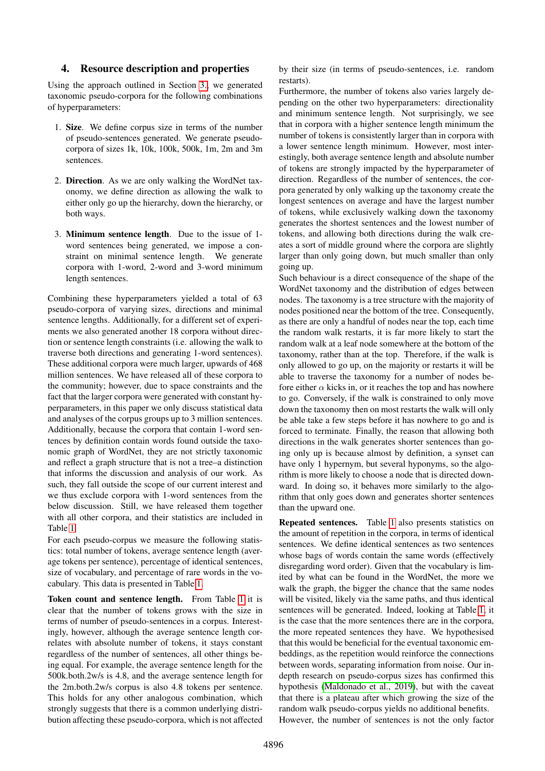## <span id="page-3-0"></span>4. Resource description and properties

Using the approach outlined in Section [3.,](#page-1-1) we generated taxonomic pseudo-corpora for the following combinations of hyperparameters:

- 1. Size. We define corpus size in terms of the number of pseudo-sentences generated. We generate pseudocorpora of sizes 1k, 10k, 100k, 500k, 1m, 2m and 3m sentences.
- 2. Direction. As we are only walking the WordNet taxonomy, we define direction as allowing the walk to either only go up the hierarchy, down the hierarchy, or both ways.
- 3. Minimum sentence length. Due to the issue of 1 word sentences being generated, we impose a constraint on minimal sentence length. We generate corpora with 1-word, 2-word and 3-word minimum length sentences.

Combining these hyperparameters yielded a total of 63 pseudo-corpora of varying sizes, directions and minimal sentence lengths. Additionally, for a different set of experiments we also generated another 18 corpora without direction or sentence length constraints (i.e. allowing the walk to traverse both directions and generating 1-word sentences). These additional corpora were much larger, upwards of 468 million sentences. We have released all of these corpora to the community; however, due to space constraints and the fact that the larger corpora were generated with constant hyperparameters, in this paper we only discuss statistical data and analyses of the corpus groups up to 3 million sentences. Additionally, because the corpora that contain 1-word sentences by definition contain words found outside the taxonomic graph of WordNet, they are not strictly taxonomic and reflect a graph structure that is not a tree–a distinction that informs the discussion and analysis of our work. As such, they fall outside the scope of our current interest and we thus exclude corpora with 1-word sentences from the below discussion. Still, we have released them together with all other corpora, and their statistics are included in Table [1.](#page-4-0)

For each pseudo-corpus we measure the following statistics: total number of tokens, average sentence length (average tokens per sentence), percentage of identical sentences, size of vocabulary, and percentage of rare words in the vocabulary. This data is presented in Table [1.](#page-4-0)

Token count and sentence length. From Table [1](#page-4-0) it is clear that the number of tokens grows with the size in terms of number of pseudo-sentences in a corpus. Interestingly, however, although the average sentence length correlates with absolute number of tokens, it stays constant regardless of the number of sentences, all other things being equal. For example, the average sentence length for the 500k.both.2w/s is 4.8, and the average sentence length for the 2m.both.2w/s corpus is also 4.8 tokens per sentence. This holds for any other analogous combination, which strongly suggests that there is a common underlying distribution affecting these pseudo-corpora, which is not affected by their size (in terms of pseudo-sentences, i.e. random restarts).

Furthermore, the number of tokens also varies largely depending on the other two hyperparameters: directionality and minimum sentence length. Not surprisingly, we see that in corpora with a higher sentence length minimum the number of tokens is consistently larger than in corpora with a lower sentence length minimum. However, most interestingly, both average sentence length and absolute number of tokens are strongly impacted by the hyperparameter of direction. Regardless of the number of sentences, the corpora generated by only walking up the taxonomy create the longest sentences on average and have the largest number of tokens, while exclusively walking down the taxonomy generates the shortest sentences and the lowest number of tokens, and allowing both directions during the walk creates a sort of middle ground where the corpora are slightly larger than only going down, but much smaller than only going up.

Such behaviour is a direct consequence of the shape of the WordNet taxonomy and the distribution of edges between nodes. The taxonomy is a tree structure with the majority of nodes positioned near the bottom of the tree. Consequently, as there are only a handful of nodes near the top, each time the random walk restarts, it is far more likely to start the random walk at a leaf node somewhere at the bottom of the taxonomy, rather than at the top. Therefore, if the walk is only allowed to go up, on the majority or restarts it will be able to traverse the taxonomy for a number of nodes before either  $\alpha$  kicks in, or it reaches the top and has nowhere to go. Conversely, if the walk is constrained to only move down the taxonomy then on most restarts the walk will only be able take a few steps before it has nowhere to go and is forced to terminate. Finally, the reason that allowing both directions in the walk generates shorter sentences than going only up is because almost by definition, a synset can have only 1 hypernym, but several hyponyms, so the algorithm is more likely to choose a node that is directed downward. In doing so, it behaves more similarly to the algorithm that only goes down and generates shorter sentences than the upward one.

Repeated sentences. Table [1](#page-4-0) also presents statistics on the amount of repetition in the corpora, in terms of identical sentences. We define identical sentences as two sentences whose bags of words contain the same words (effectively disregarding word order). Given that the vocabulary is limited by what can be found in the WordNet, the more we walk the graph, the bigger the chance that the same nodes will be visited, likely via the same paths, and thus identical sentences will be generated. Indeed, looking at Table [1,](#page-4-0) it is the case that the more sentences there are in the corpora, the more repeated sentences they have. We hypothesised that this would be beneficial for the eventual taxonomic embeddings, as the repetition would reinforce the connections between words, separating information from noise. Our indepth research on pseudo-corpus sizes has confirmed this hypothesis [\(Maldonado et al., 2019\)](#page-9-4), but with the caveat that there is a plateau after which growing the size of the random walk pseudo-corpus yields no additional benefits. However, the number of sentences is not the only factor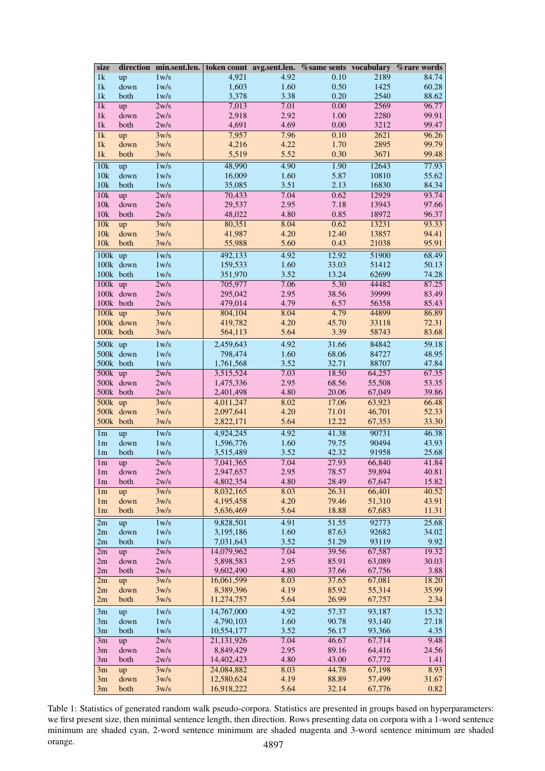<span id="page-4-0"></span>

| size                     |                        | direction min.sent.len. |                         |              |                |                  | token count avg.sent.len. % same sents vocabulary % rare words |
|--------------------------|------------------------|-------------------------|-------------------------|--------------|----------------|------------------|----------------------------------------------------------------|
| 1k                       | up                     | 1 w/s                   | 4,921                   | 4.92         | 0.10           | 2189             | 84.74                                                          |
| 1k                       | down                   | 1 w/s                   | 1,603                   | 1.60         | 0.50           | 1425             | 60.28                                                          |
| 1 <sub>k</sub>           | both                   | 1 w/s                   | 3,378                   | 3.38         | 0.20           | 2540             | 88.62                                                          |
| $\overline{1\mathrm{k}}$ | up                     | 2w/s                    | 7,013                   | 7.01         | 0.00           | 2569             | 96.77                                                          |
| 1k                       | down                   | 2w/s                    | 2,918                   | 2.92         | $1.00\,$       | 2280             | 99.91                                                          |
| 1k                       | both                   | 2w/s                    | 4,691                   | 4.69         | 0.00           | 3212             | 99.47                                                          |
| 1k                       | up                     | 3w/s                    | 7,957                   | 7.96         | 0.10           | 2621             | 96.26                                                          |
| 1k                       | down                   | 3w/s                    | 4,216                   | 4.22         | 1.70           | 2895             | 99.79                                                          |
| 1k                       | both                   | 3w/s                    | 5,519                   | 5.52         | 0.30           | 3671             | 99.48                                                          |
| 10k                      | up                     | 1w/s                    | 48,990                  | 4.90         | 1.90           | 12643            | 77.93                                                          |
| 10k                      | down                   | 1 w/s                   | 16,009                  | 1.60         | 5.87           | 10810            | 55.62                                                          |
| 10k                      | both                   | 1 w/s                   | 35,085                  | 3.51         | 2.13           | 16830            | 84.34                                                          |
| 10k                      | up                     | 2w/s                    | 70,433                  | 7.04         | 0.62           | 12929            | 93.74                                                          |
| 10k                      | down                   | 2w/s                    | 29,537                  | 2.95<br>4.80 | 7.18<br>0.85   | 13943            | 97.66<br>96.37                                                 |
| 10k<br>10k               | both                   | 2w/s                    | 48,022<br>80,351        | 8.04         | 0.62           | 18972<br>13231   | 93.33                                                          |
| 10k                      | up<br>down             | 3w/s<br>3w/s            | 41,987                  | 4.20         | 12.40          | 13857            | 94.41                                                          |
| 10k                      | both                   | 3w/s                    | 55,988                  | 5.60         | 0.43           | 21038            | 95.91                                                          |
|                          |                        |                         |                         |              |                |                  |                                                                |
| $100k$ up                |                        | 1 w/s                   | 492,133                 | 4.92         | 12.92          | 51900            | 68.49                                                          |
|                          | 100k down<br>100k both | 1 w/s<br>1 w/s          | 159,533<br>351,970      | 1.60<br>3.52 | 33.03<br>13.24 | 51412<br>62699   | 50.13<br>74.28                                                 |
| $100k$ up                |                        | 2w/s                    | 705,977                 | 7.06         | 5.30           | 44482            | 87.25                                                          |
|                          | 100k down              | 2w/s                    | 295,042                 | 2.95         | 38.56          | 39999            | 83.49                                                          |
|                          | 100k both              | 2w/s                    | 479,014                 | 4.79         | 6.57           | 56358            | 85.43                                                          |
| $100k$ up                |                        | 3w/s                    | 804,104                 | 8.04         | 4.79           | 44899            | 86.89                                                          |
|                          | 100k down              | 3w/s                    | 419,782                 | 4.20         | 45.70          | 33118            | 72.31                                                          |
|                          | 100k both              | 3w/s                    | 564,113                 | 5.64         | 3.39           | 58743            | 83.68                                                          |
| 500k up                  |                        | 1w/s                    | 2,459,643               | 4.92         | 31.66          | 84842            | 59.18                                                          |
|                          | 500k down              | 1 w/s                   | 798,474                 | 1.60         | 68.06          | 84727            | 48.95                                                          |
|                          | 500k both              | 1 w/s                   | 1,761,568               | 3.52         | 32.71          | 88707            | 47.84                                                          |
| $500k$ up                |                        | 2w/s                    | 3,515,524               | 7.03         | 18.50          | 64,257           | 67.35                                                          |
|                          | 500k down              | 2w/s                    | 1,475,336               | 2.95         | 68.56          | 55,508           | 53.35                                                          |
|                          | 500k both              | 2w/s                    | 2,401,498               | 4.80         | 20.06          | 67,049           | 39.86                                                          |
| $500k$ up                |                        | 3w/s                    | 4,011,247               | 8.02         | 17.06          | 63,923           | 66.48                                                          |
|                          | 500k down              | 3w/s                    | 2,097,641               | 4.20         | 71.01          | 46,701           | 52.33                                                          |
|                          | 500k both              | 3w/s                    | 2,822,171               | 5.64         | 12.22          | 67,353           | 33.30                                                          |
| 1 <sub>m</sub>           | up                     | 1 w/s                   | 4,924,245               | 4.92         | 41.38          | 90731            | 46.38                                                          |
| 1 <sub>m</sub>           | down                   | 1 w/s                   | 1,596,776               | 1.60         | 79.75          | 90494            | 43.93                                                          |
| 1 <sub>m</sub>           | both                   | 1 w/s                   | 3,515,489               | 3.52         | 42.32          | 91958            | 25.68                                                          |
| 1 <sub>m</sub>           | up                     | 2w/s                    | 7,041,365               | 7.04         | 27.93          | 66,840           | 41.84                                                          |
| 1 <sub>m</sub>           | down                   | 2w/s                    | 2,947,657               | 2.95         | 78.57          | 59,894           | 40.81                                                          |
| 1 <sub>m</sub>           | both                   | 2w/s                    | 4,802,354               | 4.80         | 28.49          | 67,647           | 15.82                                                          |
| 1 <sub>m</sub>           | up                     | 3w/s                    | 8,032,165               | 8.03         | 26.31          | 66,401           | 40.52                                                          |
| 1 <sub>m</sub>           | down                   | 3w/s                    | 4,195,458               | 4.20         | 79.46          | 51,310           | 43.91                                                          |
| 1 <sub>m</sub>           | both                   | 3w/s                    | 5,636,469               | 5.64         | 18.88          | 67,683           | 11.31                                                          |
| 2m                       | up                     | 1 w/s                   | 9,828,501               | 4.91         | 51.55          | 92773            | 25.68                                                          |
| 2m                       | down                   | 1 w/s                   | 3,195,186               | 1.60         | 87.63          | 92682            | 34.02                                                          |
| 2m                       | both                   | 1 w/s                   | 7,031,643               | 3.52         | 51.29          | 93119            | 9.92                                                           |
| 2m                       | up                     | 2w/s                    | 14,079,962              | 7.04         | 39.56          | 67,587           | 19.32                                                          |
| 2m                       | down                   | 2w/s                    | 5,898,583               | 2.95         | 85.91          | 63,089           | 30.03                                                          |
| 2m<br>2m                 | both                   | 2w/s<br>3w/s            | 9,602,490<br>16,061,599 | 4.80<br>8.03 | 37.66<br>37.65 | 67,756<br>67,081 | 3.88<br>18.20                                                  |
| 2m                       | up<br>down             | 3w/s                    | 8,389,396               | 4.19         | 85.92          | 55,314           | 35.99                                                          |
| 2m                       | both                   | 3w/s                    | 11,274,757              | 5.64         | 26.99          | 67,757           | 2.34                                                           |
|                          |                        |                         | 14,767,000              | 4.92         | 57.37          | 93,187           | 15.32                                                          |
| 3m<br>3m                 | up<br>down             | 1 w/s<br>1 w/s          | 4,790,103               | 1.60         | 90.78          | 93,140           | 27.18                                                          |
| 3m                       | both                   | 1 w/s                   | 10,554,177              | 3.52         | 56.17          | 93,366           | 4.35                                                           |
| 3m                       | up                     | 2w/s                    | 21,131,926              | 7.04         | 46.67          | 67,714           | 9.48                                                           |
| 3m                       | down                   | 2w/s                    | 8,849,429               | 2.95         | 89.16          | 64,416           | 24.56                                                          |
| 3m                       | both                   | 2w/s                    | 14,402,423              | 4.80         | 43.00          | 67,772           | 1.41                                                           |
| 3m                       | up                     | 3w/s                    | 24,084,882              | 8.03         | 44.78          | 67,198           | 8.93                                                           |
| 3m                       | down                   | 3w/s                    | 12,580,624              | 4.19         | 88.89          | 57,499           | 31.67                                                          |
| 3m                       | both                   | 3w/s                    | 16,918,222              | 5.64         | 32.14          | 67,776           | 0.82                                                           |

Table 1: Statistics of generated random walk pseudo-corpora. Statistics are presented in groups based on hyperparameters: we first present size, then minimal sentence length, then direction. Rows presenting data on corpora with a 1-word sentence minimum are shaded cyan, 2-word sentence minimum are shaded magenta and 3-word sentence minimum are shaded orange.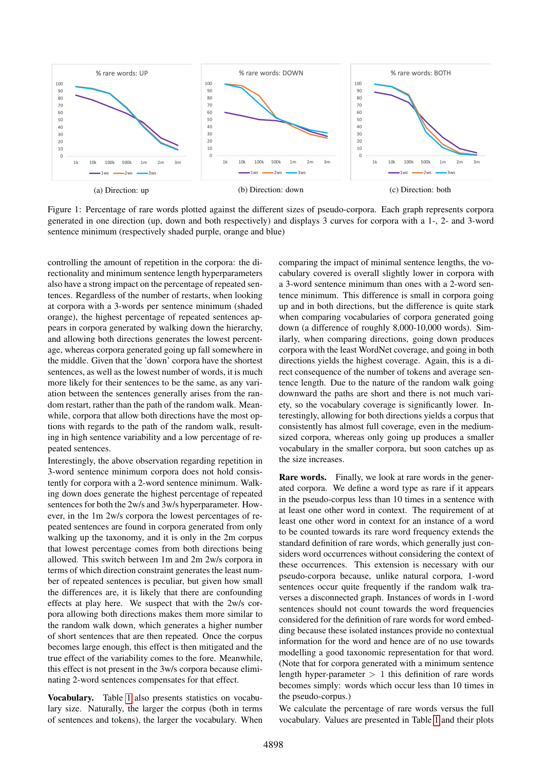<span id="page-5-0"></span>

Figure 1: Percentage of rare words plotted against the different sizes of pseudo-corpora. Each graph represents corpora generated in one direction (up, down and both respectively) and displays 3 curves for corpora with a 1-, 2- and 3-word sentence minimum (respectively shaded purple, orange and blue)

controlling the amount of repetition in the corpora: the directionality and minimum sentence length hyperparameters also have a strong impact on the percentage of repeated sentences. Regardless of the number of restarts, when looking at corpora with a 3-words per sentence minimum (shaded orange), the highest percentage of repeated sentences appears in corpora generated by walking down the hierarchy, and allowing both directions generates the lowest percentage, whereas corpora generated going up fall somewhere in the middle. Given that the 'down' corpora have the shortest sentences, as well as the lowest number of words, it is much more likely for their sentences to be the same, as any variation between the sentences generally arises from the random restart, rather than the path of the random walk. Meanwhile, corpora that allow both directions have the most options with regards to the path of the random walk, resulting in high sentence variability and a low percentage of repeated sentences.

Interestingly, the above observation regarding repetition in 3-word sentence minimum corpora does not hold consistently for corpora with a 2-word sentence minimum. Walking down does generate the highest percentage of repeated sentences for both the 2w/s and 3w/s hyperparameter. However, in the 1m 2w/s corpora the lowest percentages of repeated sentences are found in corpora generated from only walking up the taxonomy, and it is only in the 2m corpus that lowest percentage comes from both directions being allowed. This switch between 1m and 2m 2w/s corpora in terms of which direction constraint generates the least number of repeated sentences is peculiar, but given how small the differences are, it is likely that there are confounding effects at play here. We suspect that with the 2w/s corpora allowing both directions makes them more similar to the random walk down, which generates a higher number of short sentences that are then repeated. Once the corpus becomes large enough, this effect is then mitigated and the true effect of the variability comes to the fore. Meanwhile, this effect is not present in the 3w/s corpora because eliminating 2-word sentences compensates for that effect.

Vocabulary. Table [1](#page-4-0) also presents statistics on vocabulary size. Naturally, the larger the corpus (both in terms of sentences and tokens), the larger the vocabulary. When comparing the impact of minimal sentence lengths, the vocabulary covered is overall slightly lower in corpora with a 3-word sentence minimum than ones with a 2-word sentence minimum. This difference is small in corpora going up and in both directions, but the difference is quite stark when comparing vocabularies of corpora generated going down (a difference of roughly 8,000-10,000 words). Similarly, when comparing directions, going down produces corpora with the least WordNet coverage, and going in both directions yields the highest coverage. Again, this is a direct consequence of the number of tokens and average sentence length. Due to the nature of the random walk going downward the paths are short and there is not much variety, so the vocabulary coverage is significantly lower. Interestingly, allowing for both directions yields a corpus that consistently has almost full coverage, even in the mediumsized corpora, whereas only going up produces a smaller vocabulary in the smaller corpora, but soon catches up as the size increases.

Rare words. Finally, we look at rare words in the generated corpora. We define a word type as rare if it appears in the pseudo-corpus less than 10 times in a sentence with at least one other word in context. The requirement of at least one other word in context for an instance of a word to be counted towards its rare word frequency extends the standard definition of rare words, which generally just considers word occurrences without considering the context of these occurrences. This extension is necessary with our pseudo-corpora because, unlike natural corpora, 1-word sentences occur quite frequently if the random walk traverses a disconnected graph. Instances of words in 1-word sentences should not count towards the word frequencies considered for the definition of rare words for word embedding because these isolated instances provide no contextual information for the word and hence are of no use towards modelling a good taxonomic representation for that word. (Note that for corpora generated with a minimum sentence length hyper-parameter  $> 1$  this definition of rare words becomes simply: words which occur less than 10 times in the pseudo-corpus.)

We calculate the percentage of rare words versus the full vocabulary. Values are presented in Table [1](#page-4-0) and their plots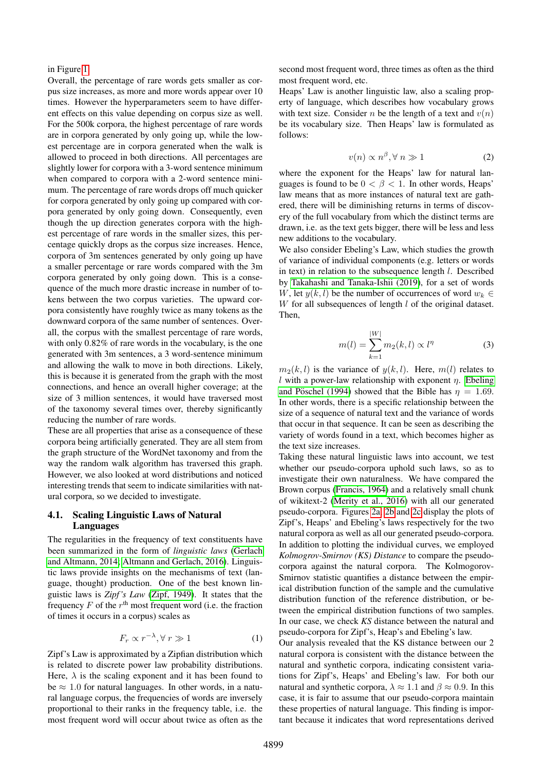#### in Figure [1.](#page-5-0)

Overall, the percentage of rare words gets smaller as corpus size increases, as more and more words appear over 10 times. However the hyperparameters seem to have different effects on this value depending on corpus size as well. For the 500k corpora, the highest percentage of rare words are in corpora generated by only going up, while the lowest percentage are in corpora generated when the walk is allowed to proceed in both directions. All percentages are slightly lower for corpora with a 3-word sentence minimum when compared to corpora with a 2-word sentence minimum. The percentage of rare words drops off much quicker for corpora generated by only going up compared with corpora generated by only going down. Consequently, even though the up direction generates corpora with the highest percentage of rare words in the smaller sizes, this percentage quickly drops as the corpus size increases. Hence, corpora of 3m sentences generated by only going up have a smaller percentage or rare words compared with the 3m corpora generated by only going down. This is a consequence of the much more drastic increase in number of tokens between the two corpus varieties. The upward corpora consistently have roughly twice as many tokens as the downward corpora of the same number of sentences. Overall, the corpus with the smallest percentage of rare words, with only 0.82% of rare words in the vocabulary, is the one generated with 3m sentences, a 3 word-sentence minimum and allowing the walk to move in both directions. Likely, this is because it is generated from the graph with the most connections, and hence an overall higher coverage; at the size of 3 million sentences, it would have traversed most of the taxonomy several times over, thereby significantly reducing the number of rare words.

These are all properties that arise as a consequence of these corpora being artificially generated. They are all stem from the graph structure of the WordNet taxonomy and from the way the random walk algorithm has traversed this graph. However, we also looked at word distributions and noticed interesting trends that seem to indicate similarities with natural corpora, so we decided to investigate.

#### 4.1. Scaling Linguistic Laws of Natural Languages

The regularities in the frequency of text constituents have been summarized in the form of *linguistic laws* [\(Gerlach](#page-8-10) [and Altmann, 2014;](#page-8-10) [Altmann and Gerlach, 2016\)](#page-8-11). Linguistic laws provide insights on the mechanisms of text (language, thought) production. One of the best known linguistic laws is *Zipf 's Law* [\(Zipf, 1949\)](#page-9-11). It states that the frequency  $F$  of the  $r<sup>th</sup>$  most frequent word (i.e. the fraction of times it occurs in a corpus) scales as

$$
F_r \propto r^{-\lambda}, \forall r \gg 1 \tag{1}
$$

Zipf's Law is approximated by a Zipfian distribution which is related to discrete power law probability distributions. Here,  $\lambda$  is the scaling exponent and it has been found to be  $\approx 1.0$  for natural languages. In other words, in a natural language corpus, the frequencies of words are inversely proportional to their ranks in the frequency table, i.e. the most frequent word will occur about twice as often as the second most frequent word, three times as often as the third most frequent word, etc.

Heaps' Law is another linguistic law, also a scaling property of language, which describes how vocabulary grows with text size. Consider *n* be the length of a text and  $v(n)$ be its vocabulary size. Then Heaps' law is formulated as follows:

$$
v(n) \propto n^{\beta}, \forall n \gg 1 \tag{2}
$$

where the exponent for the Heaps' law for natural languages is found to be  $0 < \beta < 1$ . In other words, Heaps' law means that as more instances of natural text are gathered, there will be diminishing returns in terms of discovery of the full vocabulary from which the distinct terms are drawn, i.e. as the text gets bigger, there will be less and less new additions to the vocabulary.

We also consider Ebeling's Law, which studies the growth of variance of individual components (e.g. letters or words in text) in relation to the subsequence length l. Described by [Takahashi and Tanaka-Ishii \(2019\)](#page-9-12), for a set of words W, let  $y(k, l)$  be the number of occurrences of word  $w_k \in$  $W$  for all subsequences of length  $l$  of the original dataset. Then,

$$
m(l) = \sum_{k=1}^{|W|} m_2(k, l) \propto l^{\eta}
$$
 (3)

 $m_2(k, l)$  is the variance of  $y(k, l)$ . Here,  $m(l)$  relates to l with a power-law relationship with exponent  $\eta$ . [Ebeling](#page-8-12) and Pöschel (1994) showed that the Bible has  $\eta = 1.69$ . In other words, there is a specific relationship between the size of a sequence of natural text and the variance of words that occur in that sequence. It can be seen as describing the variety of words found in a text, which becomes higher as the text size increases.

Taking these natural linguistic laws into account, we test whether our pseudo-corpora uphold such laws, so as to investigate their own naturalness. We have compared the Brown corpus [\(Francis, 1964\)](#page-8-13) and a relatively small chunk of wikitext-2 [\(Merity et al., 2016\)](#page-9-13) with all our generated pseudo-corpora. Figures [2a, 2b](#page-7-1) and [2c](#page-7-1) display the plots of Zipf's, Heaps' and Ebeling's laws respectively for the two natural corpora as well as all our generated pseudo-corpora. In addition to plotting the individual curves, we employed *Kolmogrov-Smirnov (KS) Distance* to compare the pseudocorpora against the natural corpora. The Kolmogorov-Smirnov statistic quantifies a distance between the empirical distribution function of the sample and the cumulative distribution function of the reference distribution, or between the empirical distribution functions of two samples. In our case, we check *KS* distance between the natural and pseudo-corpora for Zipf's, Heap's and Ebeling's law.

Our analysis revealed that the KS distance between our 2 natural corpora is consistent with the distance between the natural and synthetic corpora, indicating consistent variations for Zipf's, Heaps' and Ebeling's law. For both our natural and synthetic corpora,  $\lambda \approx 1.1$  and  $\beta \approx 0.9$ . In this case, it is fair to assume that our pseudo-corpora maintain these properties of natural language. This finding is important because it indicates that word representations derived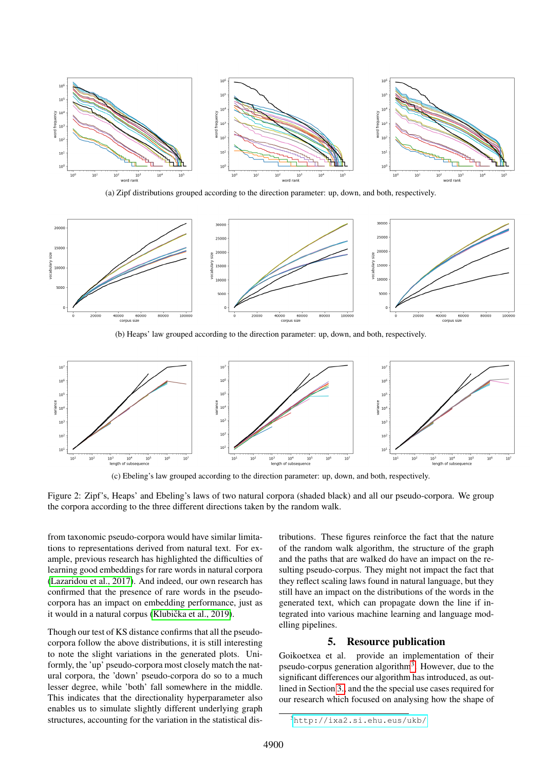<span id="page-7-1"></span>

(a) Zipf distributions grouped according to the direction parameter: up, down, and both, respectively.



(b) Heaps' law grouped according to the direction parameter: up, down, and both, respectively.



(c) Ebeling's law grouped according to the direction parameter: up, down, and both, respectively.

Figure 2: Zipf's, Heaps' and Ebeling's laws of two natural corpora (shaded black) and all our pseudo-corpora. We group the corpora according to the three different directions taken by the random walk.

from taxonomic pseudo-corpora would have similar limitations to representations derived from natural text. For example, previous research has highlighted the difficulties of learning good embeddings for rare words in natural corpora [\(Lazaridou et al., 2017\)](#page-9-14). And indeed, our own research has confirmed that the presence of rare words in the pseudocorpora has an impact on embedding performance, just as it would in a natural corpus (Klubička et al., 2019).

Though our test of KS distance confirms that all the pseudocorpora follow the above distributions, it is still interesting to note the slight variations in the generated plots. Uniformly, the 'up' pseudo-corpora most closely match the natural corpora, the 'down' pseudo-corpora do so to a much lesser degree, while 'both' fall somewhere in the middle. This indicates that the directionality hyperparameter also enables us to simulate slightly different underlying graph structures, accounting for the variation in the statistical distributions. These figures reinforce the fact that the nature of the random walk algorithm, the structure of the graph and the paths that are walked do have an impact on the resulting pseudo-corpus. They might not impact the fact that they reflect scaling laws found in natural language, but they still have an impact on the distributions of the words in the generated text, which can propagate down the line if integrated into various machine learning and language modelling pipelines.

#### 5. Resource publication

<span id="page-7-0"></span>Goikoetxea et al. provide an implementation of their pseudo-corpus generation algorithm<sup>[3](#page-7-2)</sup>. However, due to the significant differences our algorithm has introduced, as outlined in Section [3.,](#page-1-1) and the the special use cases required for our research which focused on analysing how the shape of

<span id="page-7-2"></span> $3$ <http://ixa2.si.ehu.eus/ukb/>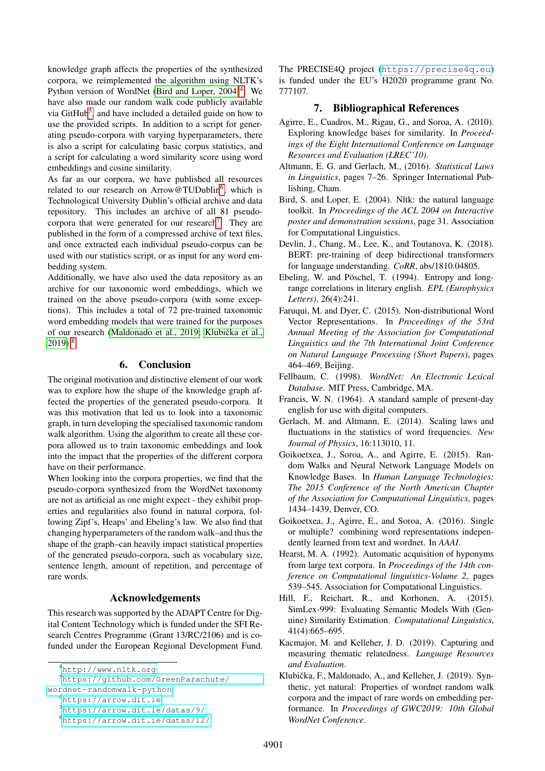knowledge graph affects the properties of the synthesized corpora, we reimplemented the algorithm using NLTK's Python version of WordNet (Bird and Loper,  $2004$  $2004$ )<sup>4</sup>. We have also made our random walk code publicly available via GitHub<sup>[5](#page-8-16)</sup>, and have included a detailed guide on how to use the provided scripts. In addition to a script for generating pseudo-corpora with varying hyperparameters, there is also a script for calculating basic corpus statistics, and a script for calculating a word similarity score using word embeddings and cosine similarity.

As far as our corpora, we have published all resources related to our research on Arrow@TUDublin<sup>[6](#page-8-17)</sup>, which is Technological University Dublin's official archive and data repository. This includes an archive of all 81 pseudo-corpora that were generated for our research<sup>[7](#page-8-18)</sup>. They are published in the form of a compressed archive of text files, and once extracted each individual pseudo-corpus can be used with our statistics script, or as input for any word embedding system.

Additionally, we have also used the data repository as an archive for our taxonomic word embeddings, which we trained on the above pseudo-corpora (with some exceptions). This includes a total of 72 pre-trained taxonomic word embedding models that were trained for the purposes of our research [\(Maldonado et al., 2019;](#page-9-4) Klubička et al.,  $2019$ <sup>[8](#page-8-19)</sup>.

#### 6. Conclusion

The original motivation and distinctive element of our work was to explore how the shape of the knowledge graph affected the properties of the generated pseudo-corpora. It was this motivation that led us to look into a taxonomic graph, in turn developing the specialised taxonomic random walk algorithm. Using the algorithm to create all these corpora allowed us to train taxonomic embeddings and look into the impact that the properties of the different corpora have on their performance.

When looking into the corpora properties, we find that the pseudo-corpora synthesized from the WordNet taxonomy are not as artificial as one might expect - they exhibit properties and regularities also found in natural corpora, following Zipf's, Heaps' and Ebeling's law. We also find that changing hyperparameters of the random walk–and thus the shape of the graph–can heavily impact statistical properties of the generated pseudo-corpora, such as vocabulary size, sentence length, amount of repetition, and percentage of rare words.

## Acknowledgements

This research was supported by the ADAPT Centre for Digital Content Technology which is funded under the SFI Research Centres Programme (Grant 13/RC/2106) and is cofunded under the European Regional Development Fund.

[wordnet-randomwalk-python](https://github.com/GreenParachute/wordnet-randomwalk-python)

<span id="page-8-17"></span><sup>6</sup><https://arrow.dit.ie>

The PRECISE4Q project (<https://precise4q.eu>) is funded under the EU's H2020 programme grant No. 777107.

#### 7. Bibliographical References

- <span id="page-8-7"></span>Agirre, E., Cuadros, M., Rigau, G., and Soroa, A. (2010). Exploring knowledge bases for similarity. In *Proceedings of the Eight International Conference on Language Resources and Evaluation (LREC'10)*.
- <span id="page-8-11"></span>Altmann, E. G. and Gerlach, M., (2016). *Statistical Laws in Linguistics*, pages 7–26. Springer International Publishing, Cham.
- <span id="page-8-14"></span>Bird, S. and Loper, E. (2004). Nltk: the natural language toolkit. In *Proceedings of the ACL 2004 on Interactive poster and demonstration sessions*, page 31. Association for Computational Linguistics.
- <span id="page-8-2"></span>Devlin, J., Chang, M., Lee, K., and Toutanova, K. (2018). BERT: pre-training of deep bidirectional transformers for language understanding. *CoRR*, abs/1810.04805.
- <span id="page-8-12"></span>Ebeling, W. and Pöschel, T. (1994). Entropy and longrange correlations in literary english. *EPL (Europhysics Letters)*, 26(4):241.
- <span id="page-8-6"></span>Faruqui, M. and Dyer, C. (2015). Non-distributional Word Vector Representations. In *Proceedings of the 53rd Annual Meeting of the Association for Computational Linguistics and the 7th International Joint Conference on Natural Language Processing (Short Papers)*, pages 464–469, Beijing.
- <span id="page-8-9"></span>Fellbaum, C. (1998). *WordNet: An Electronic Lexical Database*. MIT Press, Cambridge, MA.
- <span id="page-8-13"></span>Francis, W. N. (1964). A standard sample of present-day english for use with digital computers.
- <span id="page-8-10"></span>Gerlach, M. and Altmann, E. (2014). Scaling laws and fluctuations in the statistics of word frequencies. *New Journal of Physics*, 16:113010, 11.
- <span id="page-8-3"></span>Goikoetxea, J., Soroa, A., and Agirre, E. (2015). Random Walks and Neural Network Language Models on Knowledge Bases. In *Human Language Technologies: The 2015 Conference of the North American Chapter of the Association for Computational Linguistics*, pages 1434–1439, Denver, CO.
- <span id="page-8-4"></span>Goikoetxea, J., Agirre, E., and Soroa, A. (2016). Single or multiple? combining word representations independently learned from text and wordnet. In *AAAI*.
- <span id="page-8-1"></span>Hearst, M. A. (1992). Automatic acquisition of hyponyms from large text corpora. In *Proceedings of the 14th conference on Computational linguistics-Volume 2*, pages 539–545. Association for Computational Linguistics.
- <span id="page-8-8"></span>Hill, F., Reichart, R., and Korhonen, A. (2015). SimLex-999: Evaluating Semantic Models With (Genuine) Similarity Estimation. *Computational Linguistics*, 41(4):665–695.
- <span id="page-8-0"></span>Kacmajor, M. and Kelleher, J. D. (2019). Capturing and measuring thematic relatedness. *Language Resources and Evaluation*.
- <span id="page-8-5"></span>Klubička, F., Maldonado, A., and Kelleher, J. (2019). Synthetic, yet natural: Properties of wordnet random walk corpora and the impact of rare words on embedding performance. In *Proceedings of GWC2019: 10th Global WordNet Conference*.

<span id="page-8-16"></span><span id="page-8-15"></span><sup>4</sup><http://www.nltk.org>

<sup>5</sup>[https://github.com/GreenParachute/](https://github.com/GreenParachute/wordnet-randomwalk-python)

<span id="page-8-18"></span><sup>7</sup><https://arrow.dit.ie/datas/9/>

<span id="page-8-19"></span><sup>8</sup><https://arrow.dit.ie/datas/12/>